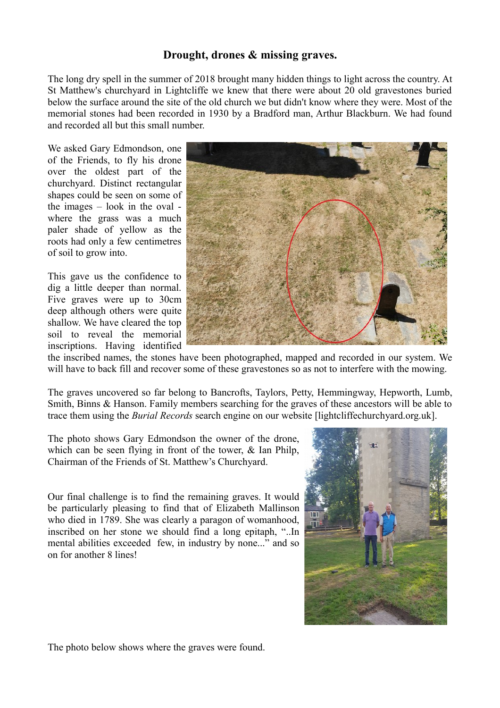## **Drought, drones & missing graves.**

The long dry spell in the summer of 2018 brought many hidden things to light across the country. At St Matthew's churchyard in Lightcliffe we knew that there were about 20 old gravestones buried below the surface around the site of the old church we but didn't know where they were. Most of the memorial stones had been recorded in 1930 by a Bradford man, Arthur Blackburn. We had found and recorded all but this small number.

We asked Gary Edmondson, one of the Friends, to fly his drone over the oldest part of the churchyard. Distinct rectangular shapes could be seen on some of the images – look in the oval where the grass was a much paler shade of yellow as the roots had only a few centimetres of soil to grow into.

This gave us the confidence to dig a little deeper than normal. Five graves were up to 30cm deep although others were quite shallow. We have cleared the top soil to reveal the memorial inscriptions. Having identified



the inscribed names, the stones have been photographed, mapped and recorded in our system. We will have to back fill and recover some of these gravestones so as not to interfere with the mowing.

The graves uncovered so far belong to Bancrofts, Taylors, Petty, Hemmingway, Hepworth, Lumb, Smith, Binns & Hanson. Family members searching for the graves of these ancestors will be able to trace them using the *Burial Records* search engine on our website [lightcliffechurchyard.org.uk].

The photo shows Gary Edmondson the owner of the drone, which can be seen flying in front of the tower, & Ian Philp, Chairman of the Friends of St. Matthew's Churchyard.

Our final challenge is to find the remaining graves. It would be particularly pleasing to find that of Elizabeth Mallinson who died in 1789. She was clearly a paragon of womanhood, inscribed on her stone we should find a long epitaph, "..In mental abilities exceeded few, in industry by none..." and so on for another 8 lines!



The photo below shows where the graves were found.